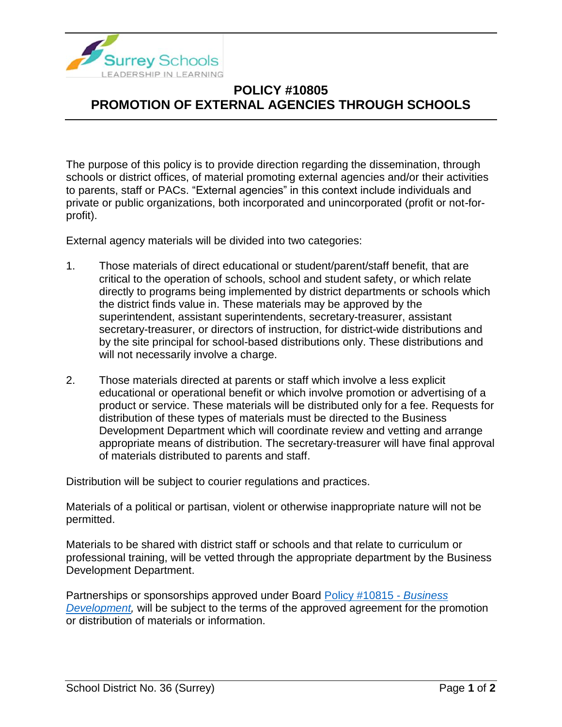

## **POLICY #10805 PROMOTION OF EXTERNAL AGENCIES THROUGH SCHOOLS**

The purpose of this policy is to provide direction regarding the dissemination, through schools or district offices, of material promoting external agencies and/or their activities to parents, staff or PACs. "External agencies" in this context include individuals and private or public organizations, both incorporated and unincorporated (profit or not-forprofit).

External agency materials will be divided into two categories:

- 1. Those materials of direct educational or student/parent/staff benefit, that are critical to the operation of schools, school and student safety, or which relate directly to programs being implemented by district departments or schools which the district finds value in. These materials may be approved by the superintendent, assistant superintendents, secretary-treasurer, assistant secretary-treasurer, or directors of instruction, for district-wide distributions and by the site principal for school-based distributions only. These distributions and will not necessarily involve a charge.
- 2. Those materials directed at parents or staff which involve a less explicit educational or operational benefit or which involve promotion or advertising of a product or service. These materials will be distributed only for a fee. Requests for distribution of these types of materials must be directed to the Business Development Department which will coordinate review and vetting and arrange appropriate means of distribution. The secretary-treasurer will have final approval of materials distributed to parents and staff.

Distribution will be subject to courier regulations and practices.

Materials of a political or partisan, violent or otherwise inappropriate nature will not be permitted.

Materials to be shared with district staff or schools and that relate to curriculum or professional training, will be vetted through the appropriate department by the Business Development Department.

Partnerships or sponsorships approved under Board [Policy #10815 -](https://www.surreyschools.ca/departments/SECT/PoliciesRegulations/section_10000/Documents/10815%20Policy.pdf) *Business Development*, will be subject to the terms of the approved agreement for the promotion or distribution of materials or information.